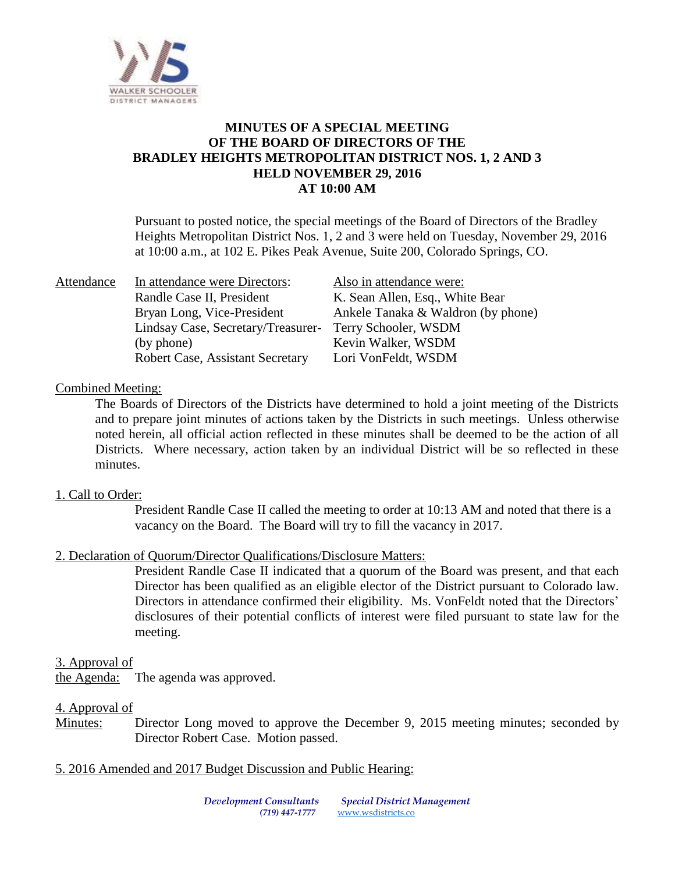

## **MINUTES OF A SPECIAL MEETING OF THE BOARD OF DIRECTORS OF THE BRADLEY HEIGHTS METROPOLITAN DISTRICT NOS. 1, 2 AND 3 HELD NOVEMBER 29, 2016 AT 10:00 AM**

Pursuant to posted notice, the special meetings of the Board of Directors of the Bradley Heights Metropolitan District Nos. 1, 2 and 3 were held on Tuesday, November 29, 2016 at 10:00 a.m., at 102 E. Pikes Peak Avenue, Suite 200, Colorado Springs, CO.

| Attendance | In attendance were Directors:                           | Also in attendance were:           |
|------------|---------------------------------------------------------|------------------------------------|
|            | Randle Case II, President                               | K. Sean Allen, Esq., White Bear    |
|            | Bryan Long, Vice-President                              | Ankele Tanaka & Waldron (by phone) |
|            | Lindsay Case, Secretary/Treasurer- Terry Schooler, WSDM |                                    |
|            | (by phone)                                              | Kevin Walker, WSDM                 |
|            | Robert Case, Assistant Secretary                        | Lori VonFeldt, WSDM                |

#### Combined Meeting:

The Boards of Directors of the Districts have determined to hold a joint meeting of the Districts and to prepare joint minutes of actions taken by the Districts in such meetings. Unless otherwise noted herein, all official action reflected in these minutes shall be deemed to be the action of all Districts. Where necessary, action taken by an individual District will be so reflected in these minutes.

## 1. Call to Order:

President Randle Case II called the meeting to order at 10:13 AM and noted that there is a vacancy on the Board. The Board will try to fill the vacancy in 2017.

## 2. Declaration of Quorum/Director Qualifications/Disclosure Matters:

President Randle Case II indicated that a quorum of the Board was present, and that each Director has been qualified as an eligible elector of the District pursuant to Colorado law. Directors in attendance confirmed their eligibility. Ms. VonFeldt noted that the Directors' disclosures of their potential conflicts of interest were filed pursuant to state law for the meeting.

#### 3. Approval of

the Agenda: The agenda was approved.

#### 4. Approval of

Minutes: Director Long moved to approve the December 9, 2015 meeting minutes; seconded by Director Robert Case. Motion passed.

#### 5. 2016 Amended and 2017 Budget Discussion and Public Hearing: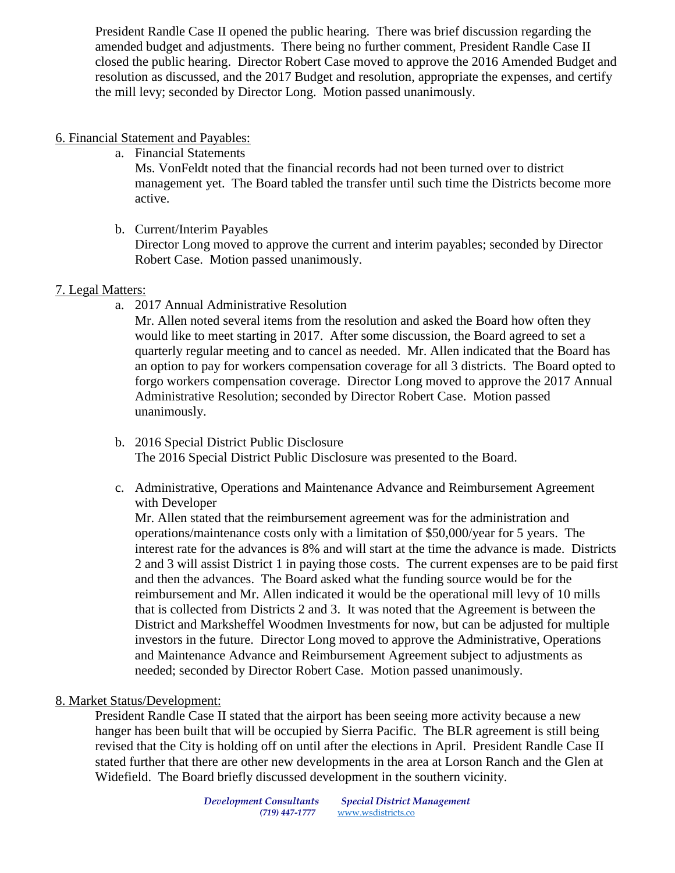President Randle Case II opened the public hearing. There was brief discussion regarding the amended budget and adjustments. There being no further comment, President Randle Case II closed the public hearing. Director Robert Case moved to approve the 2016 Amended Budget and resolution as discussed, and the 2017 Budget and resolution, appropriate the expenses, and certify the mill levy; seconded by Director Long. Motion passed unanimously.

## 6. Financial Statement and Payables:

a. Financial Statements

Ms. VonFeldt noted that the financial records had not been turned over to district management yet. The Board tabled the transfer until such time the Districts become more active.

b. Current/Interim Payables

Director Long moved to approve the current and interim payables; seconded by Director Robert Case. Motion passed unanimously.

## 7. Legal Matters:

a. 2017 Annual Administrative Resolution

Mr. Allen noted several items from the resolution and asked the Board how often they would like to meet starting in 2017. After some discussion, the Board agreed to set a quarterly regular meeting and to cancel as needed. Mr. Allen indicated that the Board has an option to pay for workers compensation coverage for all 3 districts. The Board opted to forgo workers compensation coverage. Director Long moved to approve the 2017 Annual Administrative Resolution; seconded by Director Robert Case. Motion passed unanimously.

- b. 2016 Special District Public Disclosure The 2016 Special District Public Disclosure was presented to the Board.
- c. Administrative, Operations and Maintenance Advance and Reimbursement Agreement with Developer

Mr. Allen stated that the reimbursement agreement was for the administration and operations/maintenance costs only with a limitation of \$50,000/year for 5 years. The interest rate for the advances is 8% and will start at the time the advance is made. Districts 2 and 3 will assist District 1 in paying those costs. The current expenses are to be paid first and then the advances. The Board asked what the funding source would be for the reimbursement and Mr. Allen indicated it would be the operational mill levy of 10 mills that is collected from Districts 2 and 3. It was noted that the Agreement is between the District and Marksheffel Woodmen Investments for now, but can be adjusted for multiple investors in the future. Director Long moved to approve the Administrative, Operations and Maintenance Advance and Reimbursement Agreement subject to adjustments as needed; seconded by Director Robert Case. Motion passed unanimously.

# 8. Market Status/Development:

President Randle Case II stated that the airport has been seeing more activity because a new hanger has been built that will be occupied by Sierra Pacific. The BLR agreement is still being revised that the City is holding off on until after the elections in April. President Randle Case II stated further that there are other new developments in the area at Lorson Ranch and the Glen at Widefield. The Board briefly discussed development in the southern vicinity.